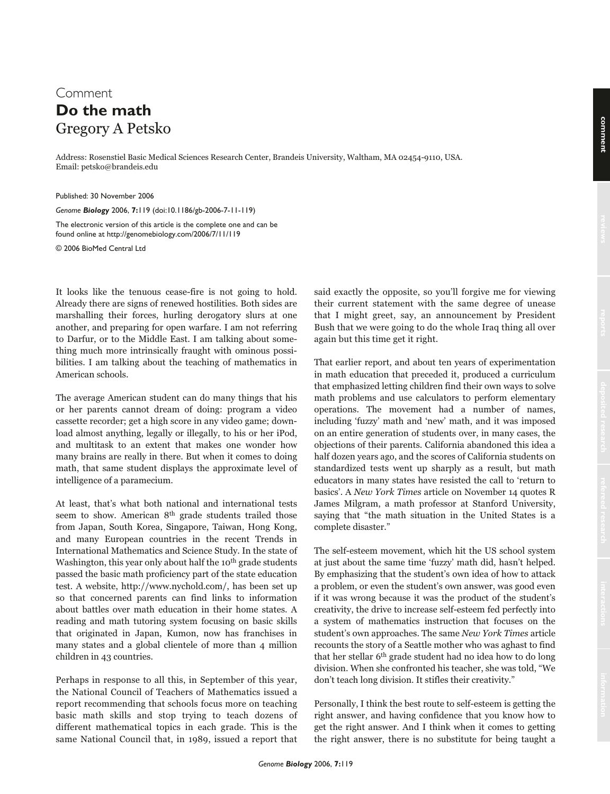## Comment **Do the math** Gregory A Petsko

Address: Rosenstiel Basic Medical Sciences Research Center, Brandeis University, Waltham, MA 02454-9110, USA. Email: petsko@brandeis.edu

Published: 30 November 2006

*Genome Biology* 2006, **7:**119 (doi:10.1186/gb-2006-7-11-119)

The electronic version of this article is the complete one and can be found online at http://genomebiology.com/2006/7/11/119

© 2006 BioMed Central Ltd

It looks like the tenuous cease-fire is not going to hold. Already there are signs of renewed hostilities. Both sides are marshalling their forces, hurling derogatory slurs at one another, and preparing for open warfare. I am not referring to Darfur, or to the Middle East. I am talking about something much more intrinsically fraught with ominous possibilities. I am talking about the teaching of mathematics in American schools.

The average American student can do many things that his or her parents cannot dream of doing: program a video cassette recorder; get a high score in any video game; download almost anything, legally or illegally, to his or her iPod, and multitask to an extent that makes one wonder how many brains are really in there. But when it comes to doing math, that same student displays the approximate level of intelligence of a paramecium.

At least, that's what both national and international tests seem to show. American 8<sup>th</sup> grade students trailed those from Japan, South Korea, Singapore, Taiwan, Hong Kong, and many European countries in the recent Trends in International Mathematics and Science Study. In the state of Washington, this year only about half the 10<sup>th</sup> grade students passed the basic math proficiency part of the state education test. A website, http://www.nychold.com/, has been set up so that concerned parents can find links to information about battles over math education in their home states. A reading and math tutoring system focusing on basic skills that originated in Japan, Kumon, now has franchises in many states and a global clientele of more than 4 million children in 43 countries.

Perhaps in response to all this, in September of this year, the National Council of Teachers of Mathematics issued a report recommending that schools focus more on teaching basic math skills and stop trying to teach dozens of different mathematical topics in each grade. This is the same National Council that, in 1989, issued a report that

said exactly the opposite, so you'll forgive me for viewing their current statement with the same degree of unease that I might greet, say, an announcement by President Bush that we were going to do the whole Iraq thing all over again but this time get it right.

That earlier report, and about ten years of experimentation in math education that preceded it, produced a curriculum that emphasized letting children find their own ways to solve math problems and use calculators to perform elementary operations. The movement had a number of names, including 'fuzzy' math and 'new' math, and it was imposed on an entire generation of students over, in many cases, the objections of their parents. California abandoned this idea a half dozen years ago, and the scores of California students on standardized tests went up sharply as a result, but math educators in many states have resisted the call to 'return to basics'. A New York Times article on November 14 quotes R James Milgram, a math professor at Stanford University, saying that "the math situation in the United States is a complete disaster."

The self-esteem movement, which hit the US school system at just about the same time 'fuzzy' math did, hasn't helped. By emphasizing that the student's own idea of how to attack a problem, or even the student's own answer, was good even if it was wrong because it was the product of the student's creativity, the drive to increase self-esteem fed perfectly into a system of mathematics instruction that focuses on the student's own approaches. The same New York Times article recounts the story of a Seattle mother who was aghast to find that her stellar 6th grade student had no idea how to do long division. When she confronted his teacher, she was told, "We don't teach long division. It stifles their creativity."

Personally, I think the best route to self-esteem is getting the right answer, and having confidence that you know how to get the right answer. And I think when it comes to getting the right answer, there is no substitute for being taught a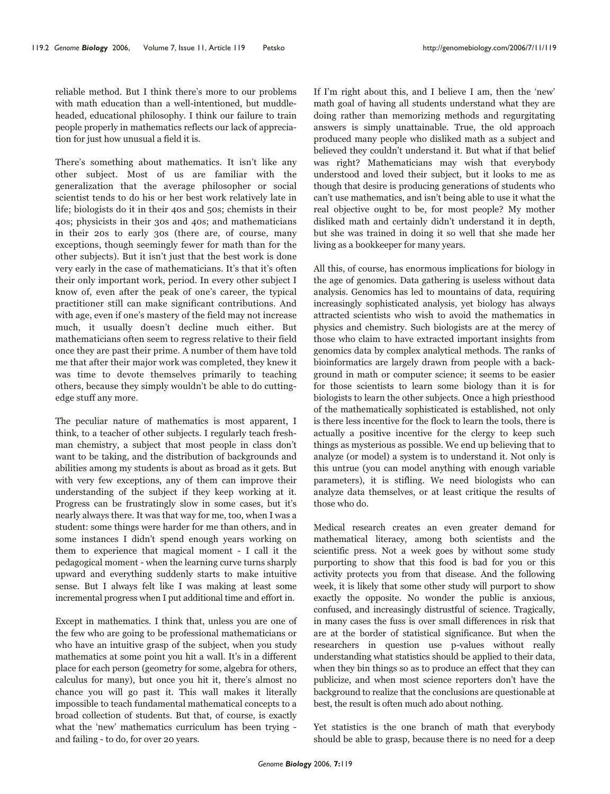reliable method. But I think there's more to our problems with math education than a well-intentioned, but muddleheaded, educational philosophy. I think our failure to train people properly in mathematics reflects our lack of appreciation for just how unusual a field it is.

There's something about mathematics. It isn't like any other subject. Most of us are familiar with the generalization that the average philosopher or social scientist tends to do his or her best work relatively late in life; biologists do it in their 40s and 50s; chemists in their 40s; physicists in their 30s and 40s; and mathematicians in their 20s to early 30s (there are, of course, many exceptions, though seemingly fewer for math than for the other subjects). But it isn't just that the best work is done very early in the case of mathematicians. It's that it's often their only important work, period. In every other subject I know of, even after the peak of one's career, the typical practitioner still can make significant contributions. And with age, even if one's mastery of the field may not increase much, it usually doesn't decline much either. But mathematicians often seem to regress relative to their field once they are past their prime. A number of them have told me that after their major work was completed, they knew it was time to devote themselves primarily to teaching others, because they simply wouldn't be able to do cuttingedge stuff any more.

The peculiar nature of mathematics is most apparent, I think, to a teacher of other subjects. I regularly teach freshman chemistry, a subject that most people in class don't want to be taking, and the distribution of backgrounds and abilities among my students is about as broad as it gets. But with very few exceptions, any of them can improve their understanding of the subject if they keep working at it. Progress can be frustratingly slow in some cases, but it's nearly always there. It was that way for me, too, when I was a student: some things were harder for me than others, and in some instances I didn't spend enough years working on them to experience that magical moment - I call it the pedagogical moment - when the learning curve turns sharply upward and everything suddenly starts to make intuitive sense. But I always felt like I was making at least some incremental progress when I put additional time and effort in.

Except in mathematics. I think that, unless you are one of the few who are going to be professional mathematicians or who have an intuitive grasp of the subject, when you study mathematics at some point you hit a wall. It's in a different place for each person (geometry for some, algebra for others, calculus for many), but once you hit it, there's almost no chance you will go past it. This wall makes it literally impossible to teach fundamental mathematical concepts to a broad collection of students. But that, of course, is exactly what the 'new' mathematics curriculum has been trying and failing - to do, for over 20 years.

If I'm right about this, and I believe I am, then the 'new' math goal of having all students understand what they are doing rather than memorizing methods and regurgitating answers is simply unattainable. True, the old approach produced many people who disliked math as a subject and believed they couldn't understand it. But what if that belief was right? Mathematicians may wish that everybody understood and loved their subject, but it looks to me as though that desire is producing generations of students who can't use mathematics, and isn't being able to use it what the real objective ought to be, for most people? My mother disliked math and certainly didn't understand it in depth, but she was trained in doing it so well that she made her living as a bookkeeper for many years.

All this, of course, has enormous implications for biology in the age of genomics. Data gathering is useless without data analysis. Genomics has led to mountains of data, requiring increasingly sophisticated analysis, yet biology has always attracted scientists who wish to avoid the mathematics in physics and chemistry. Such biologists are at the mercy of those who claim to have extracted important insights from genomics data by complex analytical methods. The ranks of bioinformatics are largely drawn from people with a background in math or computer science; it seems to be easier for those scientists to learn some biology than it is for biologists to learn the other subjects. Once a high priesthood of the mathematically sophisticated is established, not only is there less incentive for the flock to learn the tools, there is actually a positive incentive for the clergy to keep such things as mysterious as possible. We end up believing that to analyze (or model) a system is to understand it. Not only is this untrue (you can model anything with enough variable parameters), it is stifling. We need biologists who can analyze data themselves, or at least critique the results of those who do.

Medical research creates an even greater demand for mathematical literacy, among both scientists and the scientific press. Not a week goes by without some study purporting to show that this food is bad for you or this activity protects you from that disease. And the following week, it is likely that some other study will purport to show exactly the opposite. No wonder the public is anxious, confused, and increasingly distrustful of science. Tragically, in many cases the fuss is over small differences in risk that are at the border of statistical significance. But when the researchers in question use p-values without really understanding what statistics should be applied to their data, when they bin things so as to produce an effect that they can publicize, and when most science reporters don't have the background to realize that the conclusions are questionable at best, the result is often much ado about nothing.

Yet statistics is the one branch of math that everybody should be able to grasp, because there is no need for a deep